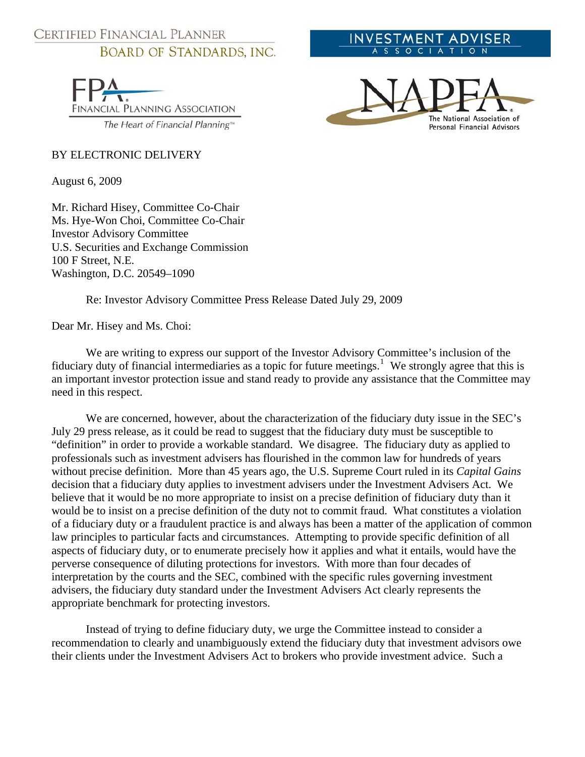## CERTIFIED FINANCIAL PLANNER **BOARD OF STANDARDS, INC.**

FINANCIAL PLANNING ASSOCIATION The Heart of Financial Planning™

## BY ELECTRONIC DELIVERY

August 6, 2009

Mr. Richard Hisey, Committee Co-Chair Ms. Hye-Won Choi, Committee Co-Chair Investor Advisory Committee U.S. Securities and Exchange Commission 100 F Street, N.E. Washington, D.C. 20549–1090

Re: Investor Advisory Committee Press Release Dated July 29, 2009

Dear Mr. Hisey and Ms. Choi:

We are writing to express our support of the Investor Advisory Committee's inclusion of the fiduciary duty of financial intermediaries as a topic for future meetings.<sup>[1](#page-1-0)</sup> We strongly agree that this is an important investor protection issue and stand ready to provide any assistance that the Committee may need in this respect.

We are concerned, however, about the characterization of the fiduciary duty issue in the SEC's July 29 press release, as it could be read to suggest that the fiduciary duty must be susceptible to "definition" in order to provide a workable standard. We disagree. The fiduciary duty as applied to professionals such as investment advisers has flourished in the common law for hundreds of years without precise definition. More than 45 years ago, the U.S. Supreme Court ruled in its *Capital Gains* decision that a fiduciary duty applies to investment advisers under the Investment Advisers Act. We believe that it would be no more appropriate to insist on a precise definition of fiduciary duty than it would be to insist on a precise definition of the duty not to commit fraud. What constitutes a violation of a fiduciary duty or a fraudulent practice is and always has been a matter of the application of common law principles to particular facts and circumstances. Attempting to provide specific definition of all aspects of fiduciary duty, or to enumerate precisely how it applies and what it entails, would have the perverse consequence of diluting protections for investors. With more than four decades of interpretation by the courts and the SEC, combined with the specific rules governing investment advisers, the fiduciary duty standard under the Investment Advisers Act clearly represents the appropriate benchmark for protecting investors.

Instead of trying to define fiduciary duty, we urge the Committee instead to consider a recommendation to clearly and unambiguously extend the fiduciary duty that investment advisors owe their clients under the Investment Advisers Act to brokers who provide investment advice. Such a



INVESTMENT ADVISER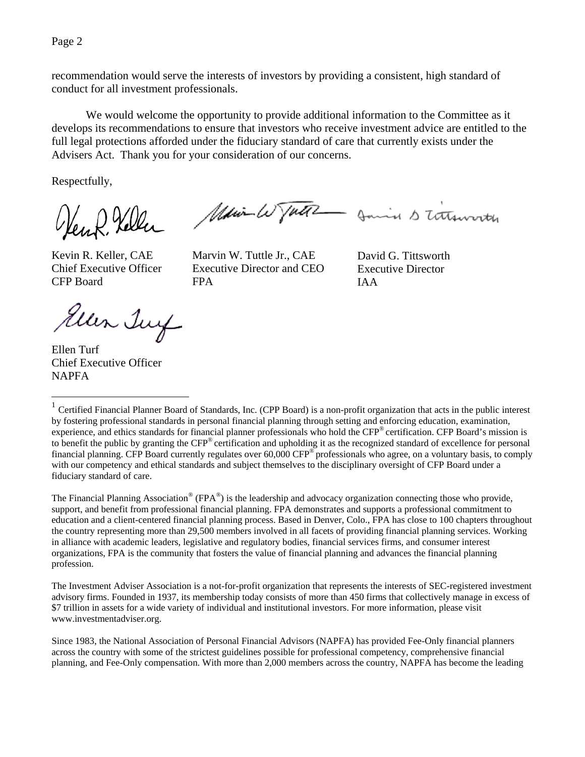Page 2

recommendation would serve the interests of investors by providing a consistent, high standard of conduct for all investment professionals.

We would welcome the opportunity to provide additional information to the Committee as it develops its recommendations to ensure that investors who receive investment advice are entitled to the full legal protections afforded under the fiduciary standard of care that currently exists under the Advisers Act. Thank you for your consideration of our concerns.

Respectfully,

en R. Keller

Main W Tutte Jamin S tothworth

Kevin R. Keller, CAE Chief Executive Officer CFP Board

Marvin W. Tuttle Jr., CAE Executive Director and CEO FPA

David G. Tittsworth Executive Director IAA

Ellen Juy

Ellen Turf Chief Executive Officer NAPFA

 $\overline{a}$ 

The Financial Planning Association® (FPA®) is the leadership and advocacy organization connecting those who provide, support, and benefit from professional financial planning. FPA demonstrates and supports a professional commitment to education and a client-centered financial planning process. Based in Denver, Colo., FPA has close to 100 chapters throughout the country representing more than 29,500 members involved in all facets of providing financial planning services. Working in alliance with academic leaders, legislative and regulatory bodies, financial services firms, and consumer interest organizations, FPA is the community that fosters the value of financial planning and advances the financial planning profession.

The Investment Adviser Association is a not-for-profit organization that represents the interests of SEC-registered investment advisory firms. Founded in 1937, its membership today consists of more than 450 firms that collectively manage in excess of \$7 trillion in assets for a wide variety of individual and institutional investors. For more information, please visit www.investmentadviser.org.

<span id="page-1-0"></span> $1$  Certified Financial Planner Board of Standards, Inc. (CPP Board) is a non-profit organization that acts in the public interest by fostering professional standards in personal financial planning through setting and enforcing education, examination, experience, and ethics standards for financial planner professionals who hold the CFP® certification. CFP Board's mission is to benefit the public by granting the CFP® certification and upholding it as the recognized standard of excellence for personal financial planning. CFP Board currently regulates over 60,000 CFP® professionals who agree, on a voluntary basis, to comply with our competency and ethical standards and subject themselves to the disciplinary oversight of CFP Board under a fiduciary standard of care.

Since 1983, the National Association of Personal Financial Advisors (NAPFA) has provided Fee-Only financial planners across the country with some of the strictest guidelines possible for professional competency, comprehensive financial planning, and Fee-Only compensation. With more than 2,000 members across the country, NAPFA has become the leading